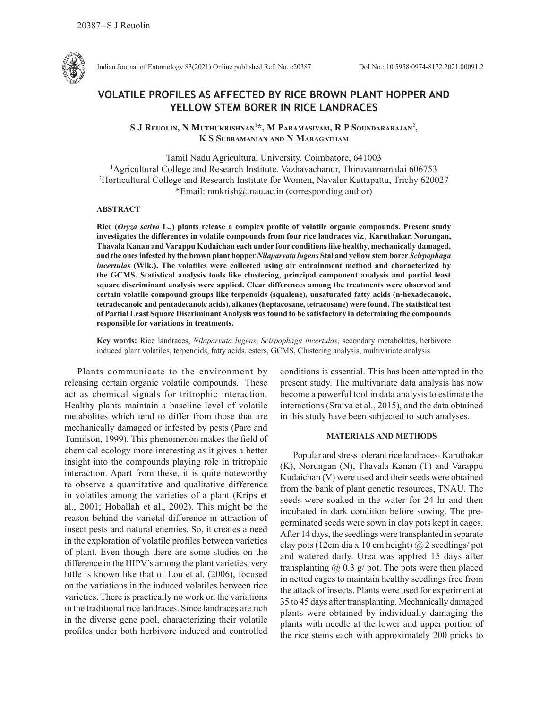

Indian Journal of Entomology 83(2021) Online published Ref. No. e20387 DoI No.: 10.5958/0974-8172.2021.00091.2

# **VOLATILE PROFILES AS AFFECTED BY RICE BROWN PLANT HOPPER AND YELLOW STEM BORER IN RICE LANDRACES**

S J Reuolin, N Muthukrishnan<sup>1\*</sup>, M Paramasivam, R P Soundararajan<sup>2</sup>, **K S Subramanian and N Maragatham**

Tamil Nadu Agricultural University, Coimbatore, 641003 <sup>1</sup> Agricultural College and Research Institute, Vazhavachanur, Thiruvannamalai 606753<br><sup>2</sup> Horticultural College and Research Institute for Women, Navalur Kuttanattu, Trichy 6200 <sup>2</sup>Horticultural College and Research Institute for Women, Navalur Kuttapattu, Trichy 620027 \*Email: nmkrish@tnau.ac.in (corresponding author)

## **ABSTRACT**

**Rice (***Oryza sativa* **L.,) plants release a complex profile of volatile organic compounds. Present study investigates the differences in volatile compounds from four rice landraces viz***.,* **Karuthakar, Norungan, Thavala Kanan and Varappu Kudaichan each under four conditions like healthy, mechanically damaged, and the ones infested by the brown plant hopper** *Nilaparvata lugens* **Stal and yellow stem borer** *Scirpophaga incertulas* **(Wlk.). The volatiles were collected using air entrainment method and characterized by the GCMS. Statistical analysis tools like clustering, principal component analysis and partial least square discriminant analysis were applied. Clear differences among the treatments were observed and certain volatile compound groups like terpenoids (squalene), unsaturated fatty acids (n-hexadecanoic, tetradecanoic and pentadecanoic acids), alkanes (heptacosane, tetracosane) were found. The statistical test of Partial Least Square Discriminant Analysis was found to be satisfactory in determining the compounds responsible for variations in treatments.** 

**Key words:** Rice landraces, *Nilaparvata lugens*, *Scirpophaga incertulas*, secondary metabolites, herbivore induced plant volatiles, terpenoids, fatty acids, esters, GCMS, Clustering analysis, multivariate analysis

Plants communicate to the environment by releasing certain organic volatile compounds. These act as chemical signals for tritrophic interaction. Healthy plants maintain a baseline level of volatile metabolites which tend to differ from those that are mechanically damaged or infested by pests (Pare and Tumilson, 1999). This phenomenon makes the field of chemical ecology more interesting as it gives a better insight into the compounds playing role in tritrophic interaction. Apart from these, it is quite noteworthy to observe a quantitative and qualitative difference in volatiles among the varieties of a plant (Krips et al., 2001; Hoballah et al., 2002). This might be the reason behind the varietal difference in attraction of insect pests and natural enemies. So, it creates a need in the exploration of volatile profiles between varieties of plant. Even though there are some studies on the difference in the HIPV's among the plant varieties, very little is known like that of Lou et al. (2006), focused on the variations in the induced volatiles between rice varieties. There is practically no work on the variations in the traditional rice landraces. Since landraces are rich in the diverse gene pool, characterizing their volatile profiles under both herbivore induced and controlled conditions is essential. This has been attempted in the present study. The multivariate data analysis has now become a powerful tool in data analysis to estimate the interactions (Sraiva et al., 2015), and the data obtained in this study have been subjected to such analyses.

## **MATERIALS AND METHODS**

Popular and stress tolerant rice landraces- Karuthakar (K), Norungan (N), Thavala Kanan (T) and Varappu Kudaichan (V) were used and their seeds were obtained from the bank of plant genetic resources, TNAU. The seeds were soaked in the water for 24 hr and then incubated in dark condition before sowing. The pregerminated seeds were sown in clay pots kept in cages. After 14 days, the seedlings were transplanted in separate clay pots (12cm dia x 10 cm height)  $\omega$  2 seedlings/ pot and watered daily. Urea was applied 15 days after transplanting  $\omega$  0.3 g/ pot. The pots were then placed in netted cages to maintain healthy seedlings free from the attack of insects. Plants were used for experiment at 35 to 45 days after transplanting. Mechanically damaged plants were obtained by individually damaging the plants with needle at the lower and upper portion of the rice stems each with approximately 200 pricks to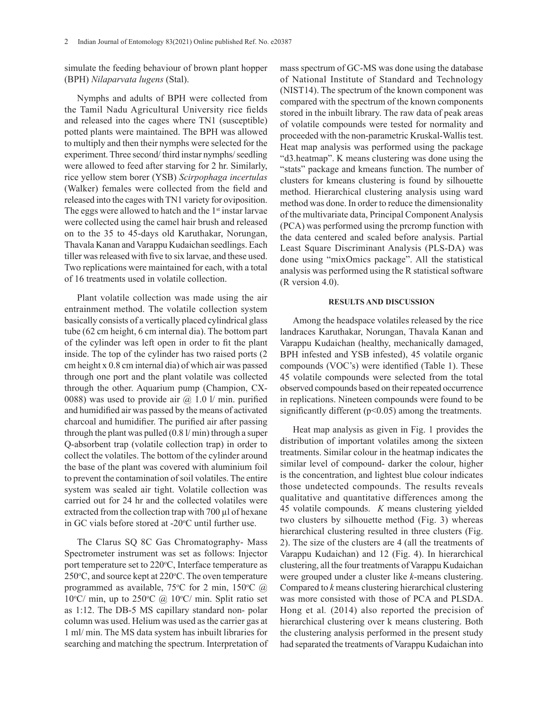simulate the feeding behaviour of brown plant hopper (BPH) *Nilaparvata lugens* (Stal).

Nymphs and adults of BPH were collected from the Tamil Nadu Agricultural University rice fields and released into the cages where TN1 (susceptible) potted plants were maintained. The BPH was allowed to multiply and then their nymphs were selected for the experiment. Three second/ third instar nymphs/ seedling were allowed to feed after starving for 2 hr. Similarly, rice yellow stem borer (YSB) *Scirpophaga incertulas* (Walker) females were collected from the field and released into the cages with TN1 variety for oviposition. The eggs were allowed to hatch and the 1<sup>st</sup> instar larvae were collected using the camel hair brush and released on to the 35 to 45-days old Karuthakar, Norungan, Thavala Kanan and Varappu Kudaichan seedlings. Each tiller was released with five to six larvae, and these used. Two replications were maintained for each, with a total of 16 treatments used in volatile collection.

Plant volatile collection was made using the air entrainment method. The volatile collection system basically consists of a vertically placed cylindrical glass tube (62 cm height, 6 cm internal dia). The bottom part of the cylinder was left open in order to fit the plant inside. The top of the cylinder has two raised ports (2 cm height x 0.8 cm internal dia) of which air was passed through one port and the plant volatile was collected through the other. Aquarium pump (Champion, CX-0088) was used to provide air  $\omega$  1.0 l/ min. purified and humidified air was passed by the means of activated charcoal and humidifier. The purified air after passing through the plant was pulled (0.8 l/ min) through a super Q-absorbent trap (volatile collection trap) in order to collect the volatiles. The bottom of the cylinder around the base of the plant was covered with aluminium foil to prevent the contamination of soil volatiles. The entire system was sealed air tight. Volatile collection was carried out for 24 hr and the collected volatiles were extracted from the collection trap with 700 µl of hexane in GC vials before stored at -20°C until further use.

The Clarus SQ 8C Gas Chromatography- Mass Spectrometer instrument was set as follows: Injector port temperature set to 220°C, Interface temperature as 250°C, and source kept at 220°C. The oven temperature programmed as available,  $75^{\circ}$ C for 2 min,  $150^{\circ}$ C @ 10°C/ min, up to 250°C @ 10°C/ min. Split ratio set as 1:12. The DB-5 MS capillary standard non- polar column was used. Helium was used as the carrier gas at 1 ml/ min. The MS data system has inbuilt libraries for searching and matching the spectrum. Interpretation of

mass spectrum of GC-MS was done using the database of National Institute of Standard and Technology (NIST14). The spectrum of the known component was compared with the spectrum of the known components stored in the inbuilt library. The raw data of peak areas of volatile compounds were tested for normality and proceeded with the non-parametric Kruskal-Wallis test. Heat map analysis was performed using the package "d3.heatmap". K means clustering was done using the "stats" package and kmeans function. The number of clusters for kmeans clustering is found by silhouette method. Hierarchical clustering analysis using ward method was done. In order to reduce the dimensionality of the multivariate data, Principal Component Analysis (PCA) was performed using the prcromp function with the data centered and scaled before analysis. Partial Least Square Discriminant Analysis (PLS-DA) was done using "mixOmics package". All the statistical analysis was performed using the R statistical software (R version 4.0).

#### **RESULTS AND DISCUSSION**

Among the headspace volatiles released by the rice landraces Karuthakar, Norungan, Thavala Kanan and Varappu Kudaichan (healthy, mechanically damaged, BPH infested and YSB infested), 45 volatile organic compounds (VOC's) were identified (Table 1). These 45 volatile compounds were selected from the total observed compounds based on their repeated occurrence in replications. Nineteen compounds were found to be significantly different ( $p<0.05$ ) among the treatments.

Heat map analysis as given in Fig. 1 provides the distribution of important volatiles among the sixteen treatments. Similar colour in the heatmap indicates the similar level of compound- darker the colour, higher is the concentration, and lightest blue colour indicates those undetected compounds. The results reveals qualitative and quantitative differences among the 45 volatile compounds. *K* means clustering yielded two clusters by silhouette method (Fig. 3) whereas hierarchical clustering resulted in three clusters (Fig. 2). The size of the clusters are 4 (all the treatments of Varappu Kudaichan) and 12 (Fig. 4). In hierarchical clustering, all the four treatments of Varappu Kudaichan were grouped under a cluster like *k*-means clustering. Compared to *k* means clustering hierarchical clustering was more consisted with those of PCA and PLSDA. Hong et al*.* (2014) also reported the precision of hierarchical clustering over k means clustering. Both the clustering analysis performed in the present study had separated the treatments of Varappu Kudaichan into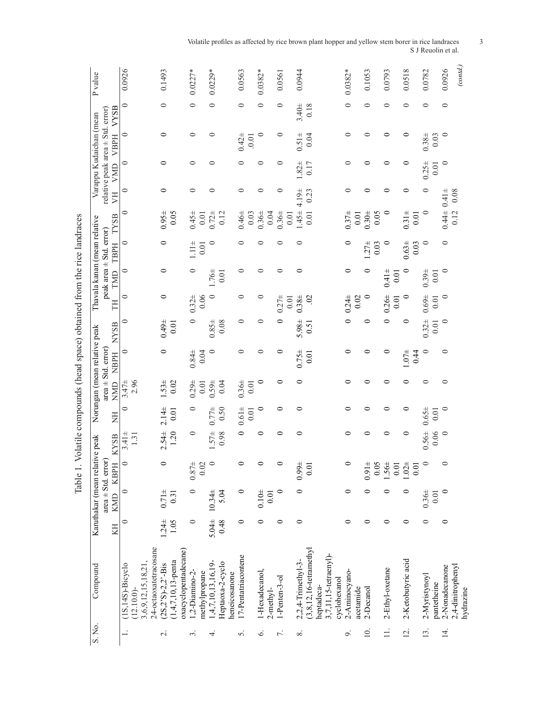| P <sub>value</sub>           |                                                              | 0.0926                                |                                                   | 0.1493                |                        |                      | $0.0227*$     |               | $0.0229*$                                               |                                   | 0.0563              | $0.0382*$      |           | 0.0561           | 0.0944             |                                            |                       |              | $0.0382*$                  | 0.1053             | 0.0793             | 0.0518             | 0.0782        |             | 0.0926           | (cond.)                        |
|------------------------------|--------------------------------------------------------------|---------------------------------------|---------------------------------------------------|-----------------------|------------------------|----------------------|---------------|---------------|---------------------------------------------------------|-----------------------------------|---------------------|----------------|-----------|------------------|--------------------|--------------------------------------------|-----------------------|--------------|----------------------------|--------------------|--------------------|--------------------|---------------|-------------|------------------|--------------------------------|
|                              | <b>VYSB</b>                                                  | $\circ$                               |                                                   | $\circ$               |                        |                      | $\circ$       |               | 0                                                       |                                   | $\circ$             | $\circ$        |           | 0                | $3.40 +$           | 0.18                                       |                       |              | $\circ$                    | $\circ$            | 0                  | 0                  | 0             |             | 0                |                                |
| Varappu Kudaichan (mean      | relative peak area $\pm$ Std. error)<br><b>VBPH</b>          | $\circ$                               |                                                   | 0                     |                        |                      | ⊂             |               | 0                                                       |                                   | $0.42 +$<br>0.01    | $\circ$        |           | $\circ$          | $0.51 \pm$         | 0.04                                       |                       |              | 0                          | ⊂                  | 0                  | 0                  | $0.38 +$      | 0.03        | $\circ$          |                                |
|                              | VMD                                                          | $\circ$                               |                                                   | 0                     |                        |                      | ⊂             |               | ⊂                                                       |                                   |                     | 0              |           | 0                | $.82 +$            | 0.17                                       |                       |              | ⊂                          |                    | ⊂                  | ⊂                  | $0.25 +$      | 0.01        | $\circ$          |                                |
|                              | F                                                            | $\circ$                               |                                                   | 0                     |                        |                      | $\circ$       |               | ⊂                                                       |                                   | $\circ$             | 0              |           | 0                | 4.19±              | 0.23                                       |                       |              | ⊂                          | ⊂                  | ⊂                  | ⊂                  | ⊂             |             | $0.41 \pm$       | 0.08                           |
|                              | <b>TYSB</b>                                                  | 0                                     |                                                   | $0.95 +$              | 0.05                   |                      | $0.45 +$      |               | $\begin{array}{c} 0.01 \\ 0.72 \pm \\ 0.12 \end{array}$ |                                   | $0.46\pm$<br>0.03   | $0.36 \pm$     | 0.04      | $0.36 +$<br>0.01 | $1.45 +$           | 0.01                                       |                       |              | $0.37 +$<br>$0.01\,$       | 0.05<br>0.304      | $\circ$            | $0.31 +$<br>0.01   | $\circ$       |             | $0.44 \pm$       | 0.12                           |
| Thavala kanan (mean relative | peak area $\pm$ Std. error)<br>TBPH                          | $\circ$                               |                                                   | $\circ$               |                        |                      | $\frac{1}{2}$ | 0.01          | $\circ$                                                 |                                   | $\circ$             | 0              |           | ⊂                | ⊂                  |                                            |                       |              | $\circ$                    | $1.27 \pm$<br>0.03 | $\circ$            | $0.63 +$<br>0.03   | $\circ$       |             | $\circ$          |                                |
|                              | TMD                                                          | $\circ$                               |                                                   | 0                     |                        |                      | ⊂             |               | 1.76±                                                   | 0.01                              | 0                   | ⊂              |           | ⊂                | 0                  |                                            |                       |              | $\circ$                    | 0                  | $0.41 \pm$<br>0.01 |                    | $0.39 +$      | 0.01        |                  |                                |
|                              | H                                                            | $\circ$                               |                                                   | $\circ$               |                        |                      | $0.32 +$      | 0.06          | $\circ$                                                 |                                   | $\circ$             | 0              |           | $0.27 +$<br>0.01 | $0.38 +$           | $\mathfrak{S}$                             |                       |              | $0.24 \pm$<br>0.02         | $\circ$            | $0.26 +$<br>0.01   | $\circ$            | $0.69 +$      | 0.01        | $\circ$          |                                |
|                              | <b>NYSB</b>                                                  | 0                                     |                                                   | $0.49 +$              | 0.01                   |                      | 0             |               | $0.85 +$                                                | 0.08                              | 0                   | 0              |           | 0                | $5.98 +$           | 0.51                                       |                       |              |                            | 0                  | 0                  | 0                  | $0.32 +$      | 0.01        | $\circ$          |                                |
| Norungan (mean relative peak | <b>NBPH</b>                                                  | $\circ$                               |                                                   | 0                     |                        |                      | $0.84 \pm$    | 0.04          | $\circ$                                                 |                                   | $\circ$             | 0              |           | 0                | $0.75 +$           | 0.01                                       |                       |              | ⊂                          | ⊂                  | 0                  | $1.07 +$<br>0.44   | $\circ$       |             | $\circ$          |                                |
|                              | $area \pm Std$ . $error$<br><b>NMD</b>                       | 2.96<br>$3.47 +$                      |                                                   | $1.53 \pm$            | 0.02                   |                      | $0.29 +$      | 0.01          | $0.59 \pm$                                              | 0.04                              | $0.36 +$<br>0.01    | 0              |           | 0                | 0                  |                                            |                       |              |                            |                    | 0                  | 0                  | $\circ$       |             | 0                |                                |
|                              | E                                                            | $\circ$                               |                                                   | $2.14 +$              | 0.01                   |                      | 0             |               | $0.77 + 0.50$                                           |                                   | $0.61 \pm$<br>0.01  | $\circ$        |           | $\circ$          | 0                  |                                            |                       |              | 0                          | 0                  | 0                  | 0                  | $0.65 \pm$    | 0.01        | $\circ$          |                                |
|                              | <b>KYSB</b>                                                  | $3.41 \pm$<br>$1.31\,$                |                                                   | $2.54 \pm$            | 1.20                   |                      | $\circ$       |               | $1.57 \pm$                                              | 0.98                              | $\circ$             | 0              |           | 0                | 0                  |                                            |                       |              | $\circ$                    | ⊂                  | 0                  | 0                  | $0.56 \pm$    | 0.06        | $\circ$          |                                |
|                              | Karuthakar (mean relative peak<br>area ± Std. error)<br>KBPH |                                       |                                                   |                       |                        |                      | $0.87 +$      | 0.02          | $\circ$                                                 |                                   |                     |                |           |                  | $0.99 +$           | 0.01                                       |                       |              |                            | $0.91 +$<br>0.05   | $1.56\pm$<br>0.01  | $1.02 +$<br>0.01   |               |             |                  |                                |
|                              | KMD                                                          | $\circ$                               |                                                   | $0.71 \pm$            | 0.31                   |                      | $\circ$       |               | $10.34 \pm$                                             | 5.04                              | $\circ$             | $0.10\pm$      | 0.01      | $\circ$          | $\circ$            |                                            |                       |              | $\circ$                    | ⊂                  | 0                  | 0                  | $0.36 \pm$    | 0.01        | $\circ$          |                                |
|                              | KH                                                           | $\circ$                               |                                                   | $1.24 \pm$            | 1.05                   |                      | $\circ$       |               | 5.04±                                                   | 0.48                              | $\circ$             | 0              |           | 0                | 0                  |                                            |                       |              | $\circ$                    | $\circ$            | $\circ$            | $\circ$            | $\circ$       |             | 0                |                                |
| Compound                     |                                                              | $(1S, 14S)$ -Bicyclo<br>$(12.10.0)$ - | 24-octaoxatetracosane<br>3, 6, 9, 12, 15, 18, 21, | $(2S, 2'S)-2, 2'-Bis$ | $(1,4,7,10,13)$ -penta | oxacyclopentadecane) | 1,2-Diamino-2 | methylpropane | <u>ام</u><br>1,4,7,10,13,16,1                           | Heptaoxa-2-cyclo<br>neneicosanone | 17-Pentatriacontene | 1-Hexadecanol, | 2-methyl- | 1-Penten-3-ol    | 2,2,4-Trimethyl-3- | $(3, 8, 12, 16$ -tetramethyl<br>heptadeca- | 3,7,11,15-tetraenyl)- | cyclohexanol | 2-Aminocyano-<br>acetamide | 2-Decanol          | 2-Ethyl-oxetane    | 2-Ketobutyric acid | 2-Myristynoyl | pantetheine | 2-Nonadecanone   | 2,4-dinitrophenyl<br>hydrazine |
| S. No.                       |                                                              |                                       |                                                   | $\overline{\sim}$     |                        |                      | $\sim$        |               | 4                                                       |                                   | 5.                  | ی              |           | $\overline{r}$ . | ∞ं                 |                                            |                       |              | $\circ$                    | $\overline{10}$ .  | $\equiv$           | $\overline{2}$ .   | <u>13</u> .   |             | $\overline{4}$ . |                                |

Table 1. Volatile compounds (head space) obtained from the rice landraces Table 1. Volatile compounds (head space) obtained from the rice landraces

Volatile profiles as affected by rice brown plant hopper and yellow stem borer in rice landraces 3 S J Reuolin et al.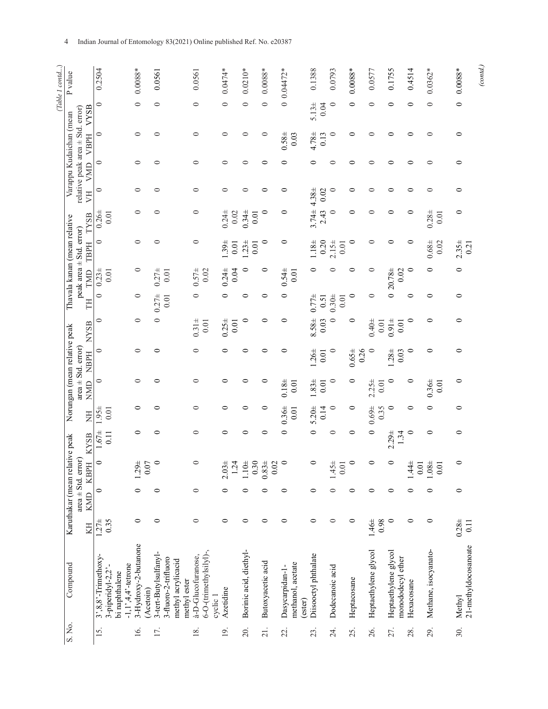| Ξ |  |
|---|--|
|   |  |
|   |  |
|   |  |

| (Table 1 contd) | P value                        |                                                     | 0.2504                                                                                                | $0.0088*$                         | 0.0561                                                                              | 0.0561                                                   | $0.0474*$        | $0.0210*$              | $0.0088*$         | $0.04472*$                                      | 0.1388               | 0.0793           | $0.0088*$          | 0.0577               | 0.1755                                    | 0.4514                 | $0.0362*$            | $0.0088*$                      | (cond.) |
|-----------------|--------------------------------|-----------------------------------------------------|-------------------------------------------------------------------------------------------------------|-----------------------------------|-------------------------------------------------------------------------------------|----------------------------------------------------------|------------------|------------------------|-------------------|-------------------------------------------------|----------------------|------------------|--------------------|----------------------|-------------------------------------------|------------------------|----------------------|--------------------------------|---------|
|                 |                                | VYSB                                                | $\circ$                                                                                               | $\circ$                           | $\circ$                                                                             | 0                                                        | $\circ$          | $\circ$                | $\circ$           |                                                 | 5.134<br>0.04        | $\circ$          | $\circ$            | $\circ$              | 0                                         | 0                      | $\circ$              | $\circ$                        |         |
|                 | Varappu Kudaichan (mean        | relative peak area $\pm$ Std. error)<br><b>VBPH</b> | $\circ$                                                                                               | 0                                 |                                                                                     | ⊂                                                        | 0                |                        |                   | $0.58 \pm$<br>0.03                              | $4.78 +$<br>0.13     | $\circ$          | 0                  |                      |                                           |                        |                      | ⊂                              |         |
|                 |                                | <b>NND</b>                                          | $\circ$                                                                                               | $\circ$                           | 0                                                                                   | $\circ$                                                  | 0                | 0                      | 0                 | 0                                               | 0                    | 0                | 0                  | ⊂                    | 0                                         | 0                      | 0                    | 0                              |         |
|                 |                                | F                                                   | $\circ$                                                                                               | 0                                 | 0                                                                                   | 0                                                        | $\circ$          | 0                      | $\circ$           | 0                                               | $4.38 \pm$<br>0.02   | $\subset$        | 0                  | ○                    | ⊂                                         | 0                      | 0                    | 0                              |         |
|                 |                                | <b>TYSB</b>                                         | 0.264<br>0.01                                                                                         |                                   | ⊂                                                                                   | 0                                                        | $0.24 +$<br>0.02 | $0.34 +$<br>0.01       | 0                 | 0                                               | $3.74 \pm$<br>2.43   | $\circ$          | 0                  |                      |                                           | 0                      | $0.28 +$<br>0.01     | $\circ$                        |         |
|                 | Thavala kanan (mean relative   | peak area ± Std. error)<br>TBPH                     | $\circ$                                                                                               | 0                                 | ⊂                                                                                   | $\circ$                                                  | $1.39 +$<br>0.01 | $1.23 +$<br>0.01       | $\circ$           | $\circ$                                         | $1.18\pm$<br>0.20    | $2.15 +$<br>0.01 | $\circ$            | 0                    | 0                                         | 0                      | $0.68\pm$<br>0.02    | $2.35 +$<br>0.21               |         |
|                 |                                | TMD                                                 | $0.23 +$<br>0.01                                                                                      | 0                                 | $0.27 +$<br>0.01                                                                    | $0.57 +$<br>0.02                                         | $0.24 +$<br>0.04 | $\circ$                | 0                 | $0.54 \pm$<br>$0.01$                            | 0                    |                  | ⊂                  | 0                    | $020.78 \pm$<br>0.02                      | 0                      | $\circ$              | $\circ$                        |         |
|                 |                                | <b>HL</b>                                           | $\circ$                                                                                               | $\circ$                           | $0.27 +$<br>0.01                                                                    | 0                                                        | $\circ$          | 0                      | 0                 | 0                                               | $0.77 +$<br>0.51     | $0.30 +$<br>0.01 | $\circ$            | $\circ$              |                                           | 0                      | ⊂                    | 0                              |         |
|                 |                                | <b>NYSB</b>                                         | 0                                                                                                     | 0                                 | 0                                                                                   | $0.31 +$<br>$0.01$                                       | $0.25 +$<br>0.01 | 0                      | 0                 | 0                                               | 8.58±<br>0.03        | ⊂                | $\circ$            | $0.40 +$<br>$0.01\,$ | $0.91 +$<br>0.01                          | 0                      | 0                    | 0                              |         |
|                 | Norungan (mean relative peak   | <b>NBPH</b>                                         | 0                                                                                                     | ⊂                                 | ⊂                                                                                   | ⊂                                                        | 0                | ⊂                      | ⊂                 | 0                                               | $1.26 \pm$<br>$0.01$ | $\circ$          | $0.65 \pm$<br>0.26 | $\circ$              | $1.28 +$<br>0.03                          | $\circ$                | 0                    | 0                              |         |
|                 |                                | $area \pm Std$ . $error$<br>NMD                     | $\circ$                                                                                               | ⊂                                 |                                                                                     | ⊂                                                        | ⊂                |                        | ⊂                 | $0.18 +$<br>0.01                                | $1.83 +$<br>0.01     | $\circ$          | $\circ$            | $2.25 +$<br>0.01     | 0                                         | 0                      | $0.36 +$<br>0.01     | 0                              |         |
|                 |                                | E                                                   | $1.95 \pm$<br>0.01                                                                                    | 0                                 |                                                                                     | 0                                                        | 0                | 0                      | 0                 | $0.36 \pm$<br>0.01                              | $5.20 \pm$<br>0.14   | $\circ$          | $\circ$            | $0.69 +$<br>0.35     | $\circ$                                   | 0                      | 0                    | 0                              |         |
|                 |                                | <b>KYSB</b>                                         | $1.67 \pm$<br>0.11                                                                                    | 0                                 | 0                                                                                   | 0                                                        | 0                | 0                      | $\circ$           | $\circ$                                         | $\circ$              | $\circ$          | $\circ$            | $\circ$              | $2.29 +$<br>1.34                          | $\circ$                | 0                    | $\circ$                        |         |
|                 | Karuthakar (mean relative peak | KBPH                                                | $\circ$                                                                                               | $1.29 +$<br>0.07                  |                                                                                     |                                                          | $2.03 +$<br>1.24 | $1.10\pm$<br>0.30      | $0.83 +$<br>0.02  | $\circ$                                         | $\circ$              | $1.45 +$<br>0.01 | $\circ$            | $\circ$              | $\circ$                                   | $1.44 \pm$<br>$0.01\,$ | $1.08 +$<br>0.01     |                                |         |
|                 |                                | $area \pm Std$ . $error$<br>KMD                     | $\circ$                                                                                               | $\circ$                           | $\circ$                                                                             | $\circ$                                                  | $\circ$          | 0                      | $\circ$           | $\circ$                                         | $\circ$              | $\circ$          | $\circ$            | $\circ$              | $\circ$                                   | $\circ$                | $\circ$              | $\circ$                        |         |
|                 |                                | KH                                                  | $1.27 \pm$<br>0.35                                                                                    | $\circ$                           | $\circ$                                                                             | $\circ$                                                  | $\circ$          | 0                      | $\circ$           | $\circ$                                         | $\circ$              | $\circ$          | 0                  | $1.46 \pm$<br>0.98   | $\circ$                                   | $\circ$                | 0                    | $0.28 +$<br>$\overline{0.11}$  |         |
|                 | Compound                       |                                                     | $3^\circ, 8, 8^\circ$ -Trimethoxy-<br>$-1, 1, 4, 4$ , -tetrone<br>3-piperidyl-2,2'-<br>bi naphthalene | 3-Hydroxy-2-butanone<br>(Acetoin) | 3-tert-Butylsulfanyl-<br>3-fluoro-2-trifluoro<br>methyl acrylicacid<br>methyl ester | 6-O-(trimethylsilyl)-,<br>à-D-Glucofuranose,<br>cyclic 1 | Azetidine        | Borinic acid, diethyl- | Butoxyacetic acid | methanol, acetate<br>Dasycarpidan-1-<br>(ester) | Diisooctyl phthalate | Dodecanoic acid  | Heptacosane        | Heptaethylene glycol | Heptaethylene glycol<br>monododecyl ether | Hexacosane             | Methane, isocyanato- | 21-methyldocosanoate<br>Methyl |         |
|                 | S. No.                         |                                                     | 15.                                                                                                   | 16.                               | 17.                                                                                 | 18.                                                      | 19.              | 20.                    | 21.               | 22.                                             | 23.                  | 24.              | 25.                | 26.                  | 27.                                       | 28.                    | 29.                  | 30.                            |         |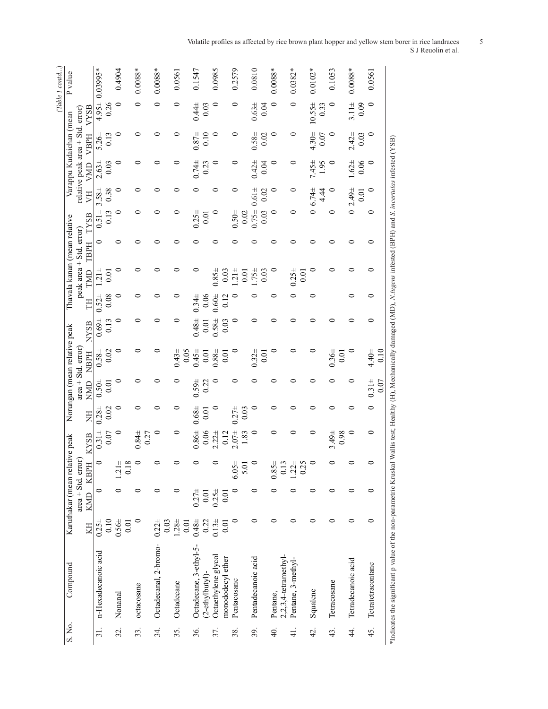| P value                        |                                      |             | $4.95 \pm 0.03995$ * |                | 0.4904<br>$\circ$ |      | $0.0088*$<br>0     | $0.0088*$<br>0        |      | 0.0561<br>$\circ$ |      | 0.1547                 |                  | 0.0985<br>$\circ$   |                   | 0.2579<br>0    |      | 0.0810             |      | $0.0088*$<br>$\circ$ |                         | $0.0382*$<br>$\circ$ | $0.0102*$                |      | 0.1053<br>$\circ$  | $0.0088**$           |      | 0.0561<br>$\circ$ |      |  |
|--------------------------------|--------------------------------------|-------------|----------------------|----------------|-------------------|------|--------------------|-----------------------|------|-------------------|------|------------------------|------------------|---------------------|-------------------|----------------|------|--------------------|------|----------------------|-------------------------|----------------------|--------------------------|------|--------------------|----------------------|------|-------------------|------|--|
|                                |                                      | VYSB        |                      | 0.26           |                   |      |                    |                       |      |                   |      | $0.44 +$               | 0.03             |                     |                   |                |      | $0.63 +$           | 0.04 |                      |                         |                      | $10.55 \pm$              | 0.33 |                    | $3.11 \pm$           | 0.09 |                   |      |  |
|                                |                                      | <b>VBPH</b> | $5.26 \pm$           | 0.13           | $\circ$           |      | ⊂                  | ⊂                     |      | 0                 |      | $0.87 +$               | 0.10             | $\circ$             |                   | 0              |      | $0.58 \pm$         | 0.02 | $\circ$              |                         | $\circ$              | $4.30 \pm$               | 0.07 | $\circ$            | $2.42 +$             | 0.03 | $\circ$           |      |  |
| Varappu Kudaichan (mean        | relative peak area $\pm$ Std. error) | VMD         | $2.63 \pm$           | 0.03           | ⊂                 |      | ⊂                  |                       |      |                   |      | $0.74 \pm$             | 0.23             | っ                   |                   | 0              |      | $0.42 +$           | 0.04 | 0                    |                         | $\circ$              | $7.45 \pm$               | 1.95 | ⊂                  | $1.62 +$             | 0.06 | $\circ$           |      |  |
|                                |                                      | F           | $3.58 \pm$           | 0.38           |                   |      | ⊂                  |                       |      |                   |      |                        |                  |                     |                   | ∊              |      | $0.61 \pm$         | 0.02 | 0                    |                         | $\circ$              | $6.74 \pm$               | 4.44 | $\circ$            | $2.49 +$             | 0.01 | $\circ$           |      |  |
|                                |                                      | TYSB        | $0.51 \pm$           | 0.13           | 0                 |      | ⊂                  |                       |      |                   |      | $0.25 +$               | 0.01             | 0                   |                   | $0.50 \pm$     | 0.02 | $0.75 +$           | 0.03 | 0                    |                         | 0                    | $\overline{\phantom{0}}$ |      | 0                  | $\overline{\bullet}$ |      | 0                 |      |  |
|                                |                                      | <b>TBPH</b> | 0                    |                | 0                 |      |                    |                       |      |                   |      |                        |                  |                     |                   |                |      |                    |      |                      |                         |                      |                          |      |                    |                      |      | 0                 |      |  |
| Thavala kanan (mean relative   | peak area ± Std. error)              | TMD         | $\frac{1}{21}$       | $\overline{0}$ |                   |      |                    |                       |      |                   |      |                        |                  | $0.85 +$            | 0.03              | $\frac{4}{21}$ | 0.01 | $.75 + 0.03$       |      |                      |                         | $0.25 +$             | $\circ$<br>0.01          |      | ⊂                  | ⊂                    |      | 0                 |      |  |
|                                |                                      | FH          | $0.52 +$             | 0.08           | 0                 |      | 0                  |                       |      | ⊂                 |      | $0.34 \pm$             | 0.06             | $0.60 +$            | 0.12              | 0              |      |                    |      |                      |                         |                      |                          |      |                    | 0                    |      | 0                 |      |  |
|                                |                                      | <b>NYSB</b> | $0.69 +$             | 0.13           | 0                 |      | ⊂                  |                       |      |                   |      | $0.48 +$               | 0.01             | $0.58 \pm$          | 0.03              | 0              |      | ⊂                  |      |                      |                         |                      |                          |      |                    | ⊂                    |      | 0                 |      |  |
| Norungan (mean relative peak   |                                      | <b>NBPH</b> | $0.58 \pm$           | 0.02           | 0                 |      | 0                  |                       |      | $0.43 +$          | 0.05 | $0.45 + 0.01$          |                  | $0.88 +$            | 0.01              | $\circ$        |      | $0.32 +$           | 0.01 |                      |                         | 0                    | っ                        |      | $0.36 \pm$<br>0.01 | $\circ$              |      | $4.40 \pm$        | 0.10 |  |
|                                | $area \pm Std$ . $error$             | <b>NMD</b>  | $0.50 \pm$           | $\overline{0}$ | $\circ$           |      | 0                  |                       |      |                   |      | $0.59 \pm$             | 0.22             | っ                   |                   | 0              |      |                    |      |                      |                         |                      | ⊂                        |      |                    | 0                    |      | $0.31 \pm$        | 0.07 |  |
|                                |                                      | E           | $0.28 +$             | 0.02           | $\circ$           |      | ⊂                  | ⊂                     |      | 0                 |      | $0.68 \pm$             | $\overline{0.0}$ | $\circ$             |                   | $0.27 +$       | 0.03 | ⊂                  |      | ⊂                    |                         | ⊂                    | ⊂                        |      | ⊂                  | 0                    |      | 0                 |      |  |
|                                |                                      | <b>KYSB</b> | $0.31 +$             | 0.07           | $\circ$           |      | $0.84 \pm$<br>0.27 |                       |      | $\circ$           |      | $0.86 \pm$             | 0.06             | $2.22 +$            | 0.12              | $2.07\pm$      | 1.83 | $\circ$            |      |                      |                         |                      |                          |      | $3.49 \pm$<br>0.98 | $\circ$              |      | 0                 |      |  |
|                                |                                      | KBPH        |                      |                | $1.21 \pm$        | 0.18 |                    |                       |      |                   |      |                        |                  |                     |                   | $6.05 \pm$     | 5.01 |                    |      | $0.85 \pm$           | 0.13                    | $1.22 \pm$           | 0.25                     |      |                    |                      |      |                   |      |  |
| Karuthakar (mean relative peak | $area \pm Std$ . $error$             | KMD         | 0                    |                | ⊂                 |      | 0                  | 0                     |      | ⊂                 |      | $0.27 +$               | 0.01             | $0.25 +$            | $\overline{0.0}$  |                |      | 0                  |      |                      |                         |                      | 0                        |      | 0                  | 0                    |      | 0                 |      |  |
|                                |                                      | KH          | $0.25 +$             | 0.10           | $0.56 \pm$        | 0.01 | 0                  | $0.22 +$              | 0.03 | $1.28 +$          | 0.01 | $0.48 +$               | 0.22             | $0.13 +$            | $\overline{0}$    | $\circ$        |      | 0                  |      | 0                    |                         | $\circ$              | $\circ$                  |      | $\circ$            | $\circ$              |      | $\circ$           |      |  |
| Compound                       |                                      |             | n-Hexadecanoic acid  |                | Nonanal           |      | octacosane         | Octadecanal, 2-bromo- |      | Octadecane        |      | Octadecane, 3-ethyl-5- | $(2-ethylbuty]$  | Octaethylene glycol | monododecyl ether | Pentacosane    |      | Pentadecanoic acid |      | Pentane,             | $2,2,3,4$ -tetramethyl- | Pentane, 3-methyl-   | Squalene                 |      | Tetracosane        | Tetradecanoic acid   |      | Tetratetracontane |      |  |
| S. No.                         |                                      |             | $\overline{31}$ .    |                | 32.               |      | 33.                | 34.                   |      | 35.               |      | 36.                    |                  | 37.                 |                   | 38.            |      | 39.                |      | $\overline{40}$      |                         | $\frac{1}{4}$        | 42.                      |      | 43.                | 4                    |      | 45.               |      |  |

#### Volatile profiles as affected by rice brown plant hopper and yellow stem borer in rice landraces 5 S J Reuolin et al.

\*Indicates the significant p value of the non-parametric Kruskal Wallis test; Healthy (H), Mechanically damaged (MD), *N.lugens* infested (BPH) and *S. incertulas* infested (YSB)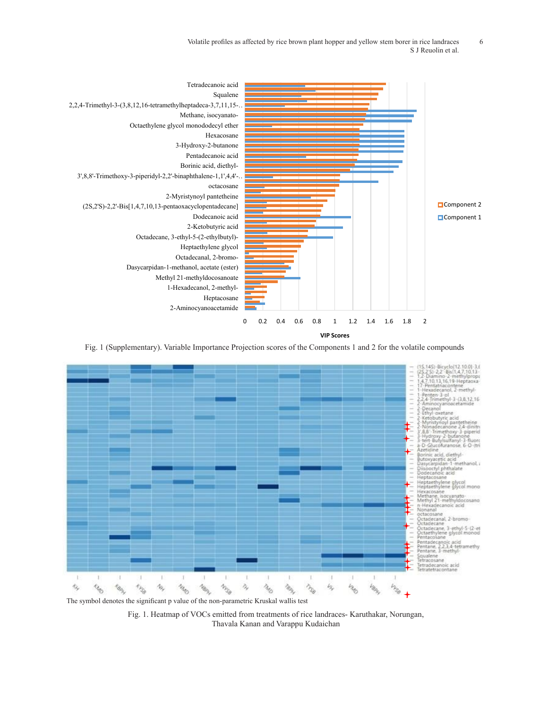Volatile profiles as affected by rice brown plant hopper and yellow stem borer in rice landraces 6 S J Reuolin et al.



Fig. 1 (Supplementary). Variable Importance Projection scores of the Components 1 and 2 for the volatile compounds



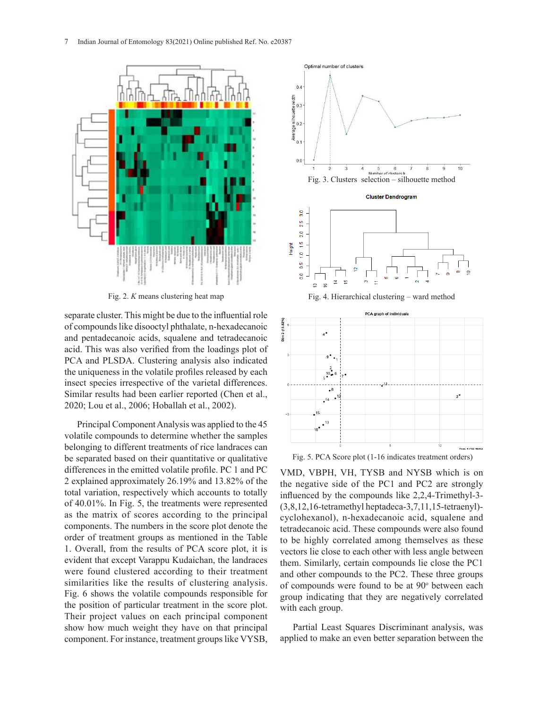

Fig. 2. *K* means clustering heat map Fig. 2. *K* means clustering heat map

of compounds like disooctyl phthalate, n-hexadecanoic and pentadecanoic acids, squalene and tetradecanoic acid. This was also verified from the loadings plot of PCA and PLSDA. Clustering analysis also indicated the uniqueness in the volatile profiles released by each insect species irrespective of the varietal differences. Similar results had been earlier reported (Chen et al., 2020; Lou et al., 2006; Hoballah et al., 2002).

be separated based on their quantitative or qualitative be separated based on their quantitative or qualitative Principal Component Analysis was applied to the 45 volatile compounds to determine whether the samples belonging to different treatments of rice landraces can differences in the emitted volatile profile. PC 1 and PC 2 explained approximately 26.19% and 13.82% of the total variation, respectively which accounts to totally of 40.01%. In Fig. 5, the treatments were represented as the matrix of scores according to the principal components. The numbers in the score plot denote the order of treatment groups as mentioned in the Table 1. Overall, from the results of PCA score plot, it is evident that except Varappu Kudaichan, the landraces were found clustered according to their treatment similarities like the results of clustering analysis. Fig. 6 shows the volatile compounds responsible for the position of particular treatment in the score plot. Their project values on each principal component show how much weight they have on that principal component. For instance, treatment groups like VYSB,



VMD, VBPH, VH, TYSB and NYSB which is on the negative side of the PC1 and PC2 are strongly influenced by the compounds like 2,2,4-Trimethyl-3- (3,8,12,16-tetramethyl heptadeca-3,7,11,15-tetraenyl) cyclohexanol), n-hexadecanoic acid, squalene and tetradecanoic acid. These compounds were also found to be highly correlated among themselves as these vectors lie close to each other with less angle between them. Similarly, certain compounds lie close the PC1 and other compounds to the PC2. These three groups of compounds were found to be at 90° between each group indicating that they are negatively correlated with each group.

Partial Least Squares Discriminant analysis, was applied to make an even better separation between the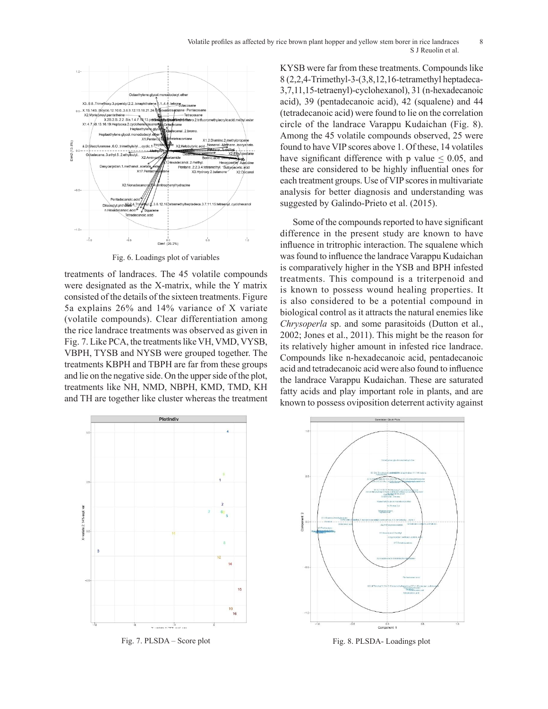

Fig. 6. Loadings plot of variables

treatments of landraces. The 45 volatile compounds were designated as the X-matrix, while the Y matrix consisted of the details of the sixteen treatments. Figure 5a explains 26% and 14% variance of X variate (volatile compounds). Clear differentiation among the rice landrace treatments was observed as given in Fig. 7. Like PCA, the treatments like VH, VMD, VYSB, VBPH, TYSB and NYSB were grouped together. The treatments KBPH and TBPH are far from these groups and lie on the negative side. On the upper side of the plot, treatments like NH, NMD, NBPH, KMD, TMD, KH and TH are together like cluster whereas the treatment  $\frac{1}{2}$  score plot (1-16 indicates treatment orders)  $\frac{1}{2}$ 

KYSB were far from these treatments. Compounds like 8 (2,2,4-Trimethyl-3-(3,8,12,16-tetramethyl heptadeca-3,7,11,15-tetraenyl)-cyclohexanol), 31 (n-hexadecanoic acid), 39 (pentadecanoic acid), 42 (squalene) and 44 (tetradecanoic acid) were found to lie on the correlation circle of the landrace Varappu Kudaichan (Fig. 8). Among the 45 volatile compounds observed, 25 were found to have VIP scores above 1. Of these, 14 volatiles have significant difference with p value  $\leq 0.05$ , and these are considered to be highly influential ones for each treatment groups. Use of VIP scores in multivariate analysis for better diagnosis and understanding was suggested by Galindo-Prieto et al. (2015).

Some of the compounds reported to have significant difference in the present study are known to have influence in tritrophic interaction. The squalene which was found to influence the landrace Varappu Kudaichan is comparatively higher in the YSB and BPH infested treatments. This compound is a triterpenoid and is known to possess wound healing properties. It is also considered to be a potential compound in biological control as it attracts the natural enemies like *Chrysoperla* sp. and some parasitoids (Dutton et al., 2002; Jones et al., 2011). This might be the reason for its relatively higher amount in infested rice landrace. Compounds like n-hexadecanoic acid, pentadecanoic acid and tetradecanoic acid were also found to influence the landrace Varappu Kudaichan. These are saturated fatty acids and play important role in plants, and are known to possess oviposition deterrent activity against



Fig. 7. PLSDA – Score plot



Fig. 8. PLSDA- Loadings plot Fig. 7. PLSDA – Score plot Fig. 8. PLSDA- Loadings plot